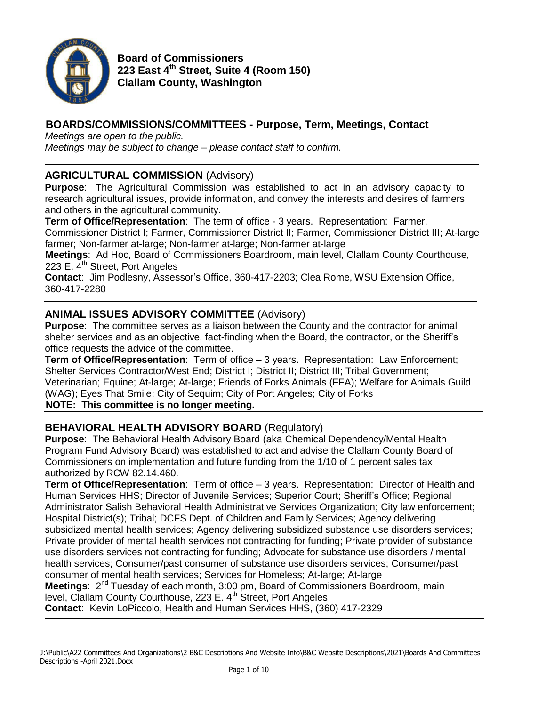

**Board of Commissioners 223 East 4th Street, Suite 4 (Room 150) Clallam County, Washington**

# **BOARDS/COMMISSIONS/COMMITTEES - Purpose, Term, Meetings, Contact**

*Meetings are open to the public.*

*Meetings may be subject to change – please contact staff to confirm.*

## **AGRICULTURAL COMMISSION** (Advisory)

**Purpose**: The Agricultural Commission was established to act in an advisory capacity to research agricultural issues, provide information, and convey the interests and desires of farmers and others in the agricultural community.

**Term of Office/Representation**: The term of office - 3 years. Representation: Farmer,

Commissioner District I; Farmer, Commissioner District II; Farmer, Commissioner District III; At-large farmer; Non-farmer at-large; Non-farmer at-large; Non-farmer at-large

**Meetings**: Ad Hoc, Board of Commissioners Boardroom, main level, Clallam County Courthouse, 223 E. 4<sup>th</sup> Street, Port Angeles

**Contact**: Jim Podlesny, Assessor's Office, 360-417-2203; Clea Rome, WSU Extension Office, 360-417-2280

## **ANIMAL ISSUES ADVISORY COMMITTEE** (Advisory)

**Purpose**: The committee serves as a liaison between the County and the contractor for animal shelter services and as an objective, fact-finding when the Board, the contractor, or the Sheriff's office requests the advice of the committee.

**Term of Office/Representation**: Term of office – 3 years. Representation: Law Enforcement; Shelter Services Contractor/West End; District I; District II; District III; Tribal Government; Veterinarian; Equine; At-large; At-large; Friends of Forks Animals (FFA); Welfare for Animals Guild (WAG); Eyes That Smile; City of Sequim; City of Port Angeles; City of Forks

**NOTE: This committee is no longer meeting.**

## **BEHAVIORAL HEALTH ADVISORY BOARD** (Regulatory)

**Purpose**: The Behavioral Health Advisory Board (aka Chemical Dependency/Mental Health Program Fund Advisory Board) was established to act and advise the Clallam County Board of Commissioners on implementation and future funding from the 1/10 of 1 percent sales tax authorized by RCW 82.14.460.

**Term of Office/Representation**: Term of office – 3 years. Representation: Director of Health and Human Services HHS; Director of Juvenile Services; Superior Court; Sheriff's Office; Regional Administrator Salish Behavioral Health Administrative Services Organization; City law enforcement; Hospital District(s); Tribal; DCFS Dept. of Children and Family Services; Agency delivering subsidized mental health services; Agency delivering subsidized substance use disorders services; Private provider of mental health services not contracting for funding; Private provider of substance use disorders services not contracting for funding; Advocate for substance use disorders / mental health services; Consumer/past consumer of substance use disorders services; Consumer/past consumer of mental health services; Services for Homeless; At-large; At-large Meetings: 2<sup>nd</sup> Tuesday of each month, 3:00 pm, Board of Commissioners Boardroom, main level, Clallam County Courthouse, 223 E. 4<sup>th</sup> Street, Port Angeles

**Contact**: Kevin LoPiccolo, Health and Human Services HHS, (360) 417-2329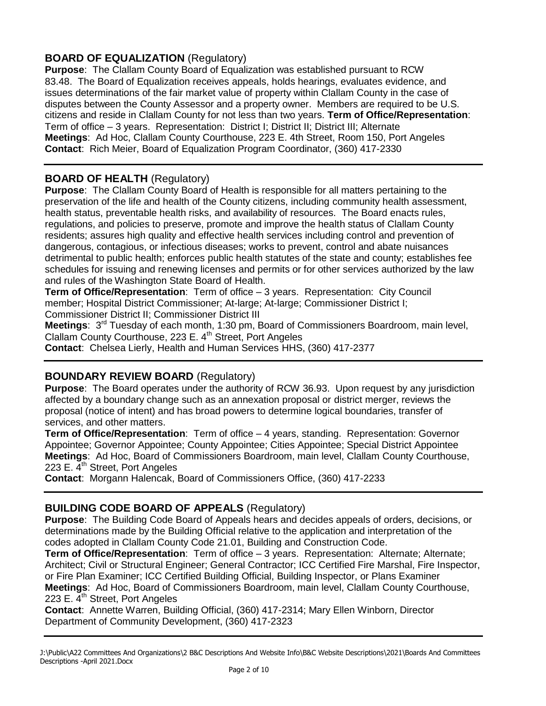# **BOARD OF EQUALIZATION** (Regulatory)

**Purpose**: The Clallam County Board of Equalization was established pursuant to RCW 83.48. The Board of Equalization receives appeals, holds hearings, evaluates evidence, and issues determinations of the fair market value of property within Clallam County in the case of disputes between the County Assessor and a property owner. Members are required to be U.S. citizens and reside in Clallam County for not less than two years. **Term of Office/Representation**: Term of office – 3 years. Representation: District I; District II; District III; Alternate **Meetings**: Ad Hoc, Clallam County Courthouse, 223 E. 4th Street, Room 150, Port Angeles **Contact**: Rich Meier, Board of Equalization Program Coordinator, (360) 417-2330

# **BOARD OF HEALTH** (Regulatory)

**Purpose**: The Clallam County Board of Health is responsible for all matters pertaining to the preservation of the life and health of the County citizens, including community health assessment, health status, preventable health risks, and availability of resources. The Board enacts rules, regulations, and policies to preserve, promote and improve the health status of Clallam County residents; assures high quality and effective health services including control and prevention of dangerous, contagious, or infectious diseases; works to prevent, control and abate nuisances detrimental to public health; enforces public health statutes of the state and county; establishes fee schedules for issuing and renewing licenses and permits or for other services authorized by the law and rules of the Washington State Board of Health.

**Term of Office/Representation**: Term of office – 3 years. Representation: City Council member; Hospital District Commissioner; At-large; At-large; Commissioner District I; Commissioner District II; Commissioner District III

Meetings: 3<sup>rd</sup> Tuesday of each month, 1:30 pm, Board of Commissioners Boardroom, main level, Clallam County Courthouse, 223 E. 4<sup>th</sup> Street, Port Angeles

**Contact**: Chelsea Lierly, Health and Human Services HHS, (360) 417-2377

## **BOUNDARY REVIEW BOARD** (Regulatory)

**Purpose**: The Board operates under the authority of RCW 36.93. Upon request by any jurisdiction affected by a boundary change such as an annexation proposal or district merger, reviews the proposal (notice of intent) and has broad powers to determine logical boundaries, transfer of services, and other matters.

**Term of Office/Representation**: Term of office – 4 years, standing. Representation: Governor Appointee; Governor Appointee; County Appointee; Cities Appointee; Special District Appointee **Meetings**: Ad Hoc, Board of Commissioners Boardroom, main level, Clallam County Courthouse, 223 E. 4<sup>th</sup> Street, Port Angeles

**Contact**: Morgann Halencak, Board of Commissioners Office, (360) 417-2233

## **BUILDING CODE BOARD OF APPEALS** (Regulatory)

**Purpose**: The Building Code Board of Appeals hears and decides appeals of orders, decisions, or determinations made by the Building Official relative to the application and interpretation of the codes adopted in Clallam County Code 21.01, Building and Construction Code.

**Term of Office/Representation**: Term of office – 3 years. Representation: Alternate; Alternate; Architect; Civil or Structural Engineer; General Contractor; ICC Certified Fire Marshal, Fire Inspector, or Fire Plan Examiner; ICC Certified Building Official, Building Inspector, or Plans Examiner **Meetings**: Ad Hoc, Board of Commissioners Boardroom, main level, Clallam County Courthouse, 223 E. 4<sup>th</sup> Street, Port Angeles

**Contact**: Annette Warren, Building Official, (360) 417-2314; Mary Ellen Winborn, Director Department of Community Development, (360) 417-2323

J:\Public\A22 Committees And Organizations\2 B&C Descriptions And Website Info\B&C Website Descriptions\2021\Boards And Committees Descriptions -April 2021.Docx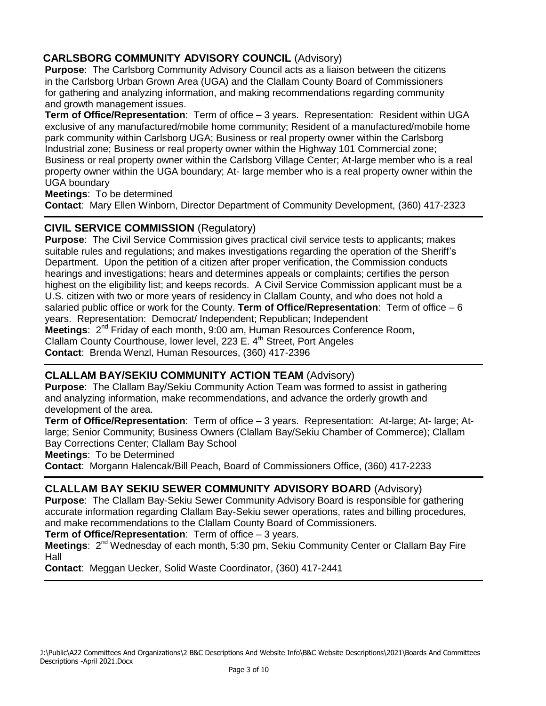# **CARLSBORG COMMUNITY ADVISORY COUNCIL** (Advisory)

**Purpose**: The Carlsborg Community Advisory Council acts as a liaison between the citizens in the Carlsborg Urban Grown Area (UGA) and the Clallam County Board of Commissioners for gathering and analyzing information, and making recommendations regarding community and growth management issues.

**Term of Office/Representation**: Term of office – 3 years. Representation: Resident within UGA exclusive of any manufactured/mobile home community; Resident of a manufactured/mobile home park community within Carlsborg UGA; Business or real property owner within the Carlsborg Industrial zone; Business or real property owner within the Highway 101 Commercial zone; Business or real property owner within the Carlsborg Village Center; At-large member who is a real property owner within the UGA boundary; At- large member who is a real property owner within the UGA boundary

**Meetings**: To be determined

**Contact**: Mary Ellen Winborn, Director Department of Community Development, (360) 417-2323

## **CIVIL SERVICE COMMISSION** (Regulatory)

**Purpose**: The Civil Service Commission gives practical civil service tests to applicants; makes suitable rules and regulations; and makes investigations regarding the operation of the Sheriff's Department. Upon the petition of a citizen after proper verification, the Commission conducts hearings and investigations; hears and determines appeals or complaints; certifies the person highest on the eligibility list; and keeps records. A Civil Service Commission applicant must be a U.S. citizen with two or more years of residency in Clallam County, and who does not hold a salaried public office or work for the County. **Term of Office/Representation**: Term of office – 6 years. Representation: Democrat/ Independent; Republican; Independent Meetings: 2<sup>nd</sup> Friday of each month, 9:00 am, Human Resources Conference Room, Clallam County Courthouse, lower level, 223 E. 4<sup>th</sup> Street, Port Angeles **Contact**: Brenda Wenzl, Human Resources, (360) 417-2396

## **CLALLAM BAY/SEKIU COMMUNITY ACTION TEAM** (Advisory)

**Purpose**: The Clallam Bay/Sekiu Community Action Team was formed to assist in gathering and analyzing information, make recommendations, and advance the orderly growth and development of the area.

**Term of Office/Representation**: Term of office – 3 years. Representation: At-large; At- large; Atlarge; Senior Community; Business Owners (Clallam Bay/Sekiu Chamber of Commerce); Clallam Bay Corrections Center; Clallam Bay School

**Meetings**: To be Determined

**Contact**: Morgann Halencak/Bill Peach, Board of Commissioners Office, (360) 417-2233

## **CLALLAM BAY SEKIU SEWER COMMUNITY ADVISORY BOARD** (Advisory)

**Purpose**: The Clallam Bay-Sekiu Sewer Community Advisory Board is responsible for gathering accurate information regarding Clallam Bay-Sekiu sewer operations, rates and billing procedures, and make recommendations to the Clallam County Board of Commissioners.

**Term of Office/Representation**: Term of office – 3 years.

Meetings: 2<sup>nd</sup> Wednesday of each month, 5:30 pm, Sekiu Community Center or Clallam Bay Fire Hall

**Contact**: Meggan Uecker, Solid Waste Coordinator, (360) 417-2441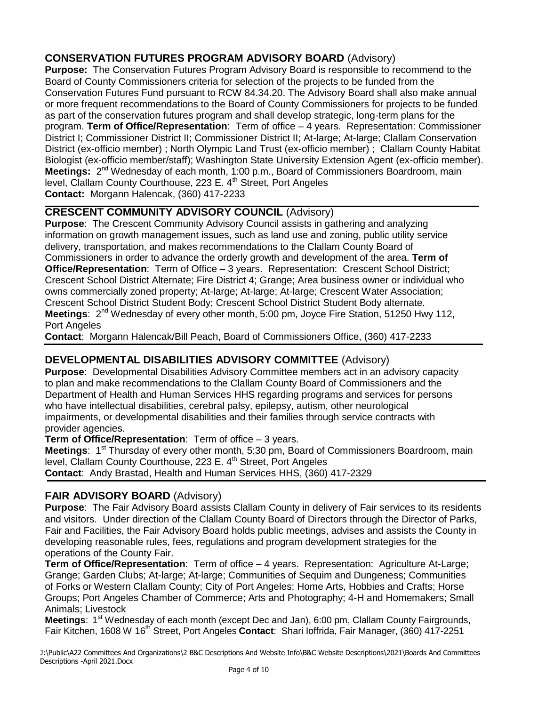# **CONSERVATION FUTURES PROGRAM ADVISORY BOARD** (Advisory)

**Purpose:** The Conservation Futures Program Advisory Board is responsible to recommend to the Board of County Commissioners criteria for selection of the projects to be funded from the Conservation Futures Fund pursuant to RCW 84.34.20. The Advisory Board shall also make annual or more frequent recommendations to the Board of County Commissioners for projects to be funded as part of the conservation futures program and shall develop strategic, long-term plans for the program. **Term of Office/Representation**: Term of office – 4 years. Representation: Commissioner District I; Commissioner District II; Commissioner District II; At-large; At-large; Clallam Conservation District (ex-officio member) ; North Olympic Land Trust (ex-officio member) ; Clallam County Habitat Biologist (ex-officio member/staff); Washington State University Extension Agent (ex-officio member). Meetings: 2<sup>nd</sup> Wednesday of each month, 1:00 p.m., Board of Commissioners Boardroom, main level, Clallam County Courthouse, 223 E. 4<sup>th</sup> Street, Port Angeles **Contact:** Morgann Halencak, (360) 417-2233 

# **CRESCENT COMMUNITY ADVISORY COUNCIL** (Advisory)

**Purpose**: The Crescent Community Advisory Council assists in gathering and analyzing information on growth management issues, such as land use and zoning, public utility service delivery, transportation, and makes recommendations to the Clallam County Board of Commissioners in order to advance the orderly growth and development of the area. **Term of Office/Representation**: Term of Office – 3 years. Representation: Crescent School District; Crescent School District Alternate; Fire District 4; Grange; Area business owner or individual who owns commercially zoned property; At-large; At-large; At-large; Crescent Water Association; Crescent School District Student Body; Crescent School District Student Body alternate. Meetings: 2<sup>nd</sup> Wednesday of every other month, 5:00 pm, Joyce Fire Station, 51250 Hwy 112, Port Angeles

**Contact**: Morgann Halencak/Bill Peach, Board of Commissioners Office, (360) 417-2233

# **DEVELOPMENTAL DISABILITIES ADVISORY COMMITTEE** (Advisory)

**Purpose**: Developmental Disabilities Advisory Committee members act in an advisory capacity to plan and make recommendations to the Clallam County Board of Commissioners and the Department of Health and Human Services HHS regarding programs and services for persons who have intellectual disabilities, cerebral palsy, epilepsy, autism, other neurological impairments, or developmental disabilities and their families through service contracts with provider agencies.

**Term of Office/Representation**: Term of office – 3 years.

Meetings: 1<sup>st</sup> Thursday of every other month, 5:30 pm, Board of Commissioners Boardroom, main level, Clallam County Courthouse, 223 E. 4<sup>th</sup> Street, Port Angeles **Contact**: Andy Brastad, Health and Human Services HHS, (360) 417-2329

# **FAIR ADVISORY BOARD** (Advisory)

**Purpose**: The Fair Advisory Board assists Clallam County in delivery of Fair services to its residents and visitors. Under direction of the Clallam County Board of Directors through the Director of Parks, Fair and Facilities, the Fair Advisory Board holds public meetings, advises and assists the County in developing reasonable rules, fees, regulations and program development strategies for the operations of the County Fair.

**Term of Office/Representation**: Term of office – 4 years. Representation: Agriculture At-Large; Grange; Garden Clubs; At-large; At-large; Communities of Sequim and Dungeness; Communities of Forks or Western Clallam County; City of Port Angeles; Home Arts, Hobbies and Crafts; Horse Groups; Port Angeles Chamber of Commerce; Arts and Photography; 4-H and Homemakers; Small Animals; Livestock

Meetings: 1<sup>st</sup> Wednesday of each month (except Dec and Jan), 6:00 pm, Clallam County Fairgrounds, Fair Kitchen, 1608 W 16<sup>th</sup> Street, Port Angeles **Contact**: Shari Ioffrida, Fair Manager, (360) 417-2251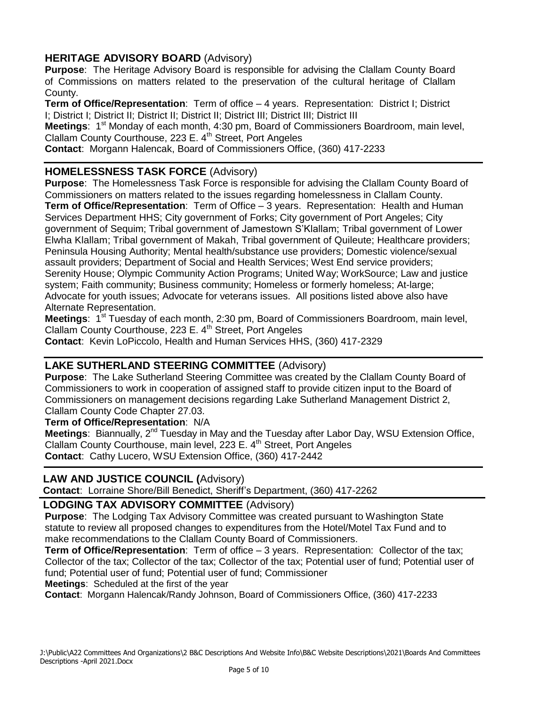# **HERITAGE ADVISORY BOARD** (Advisory)

**Purpose**: The Heritage Advisory Board is responsible for advising the Clallam County Board of Commissions on matters related to the preservation of the cultural heritage of Clallam County.

**Term of Office/Representation**: Term of office – 4 years. Representation: District I; District I; District I; District II; District II; District II; District III; District III; District III

**Meetings:** 1<sup>st</sup> Monday of each month, 4:30 pm, Board of Commissioners Boardroom, main level, Clallam County Courthouse, 223 E. 4<sup>th</sup> Street, Port Angeles

**Contact**: Morgann Halencak, Board of Commissioners Office, (360) 417-2233

## **HOMELESSNESS TASK FORCE** (Advisory)

**Purpose**: The Homelessness Task Force is responsible for advising the Clallam County Board of Commissioners on matters related to the issues regarding homelessness in Clallam County. **Term of Office/Representation**: Term of Office – 3 years. Representation: Health and Human Services Department HHS; City government of Forks; City government of Port Angeles; City government of Sequim; Tribal government of Jamestown S'Klallam; Tribal government of Lower Elwha Klallam; Tribal government of Makah, Tribal government of Quileute; Healthcare providers; Peninsula Housing Authority; Mental health/substance use providers; Domestic violence/sexual assault providers; Department of Social and Health Services; West End service providers; Serenity House; Olympic Community Action Programs; United Way; WorkSource; Law and justice system; Faith community; Business community; Homeless or formerly homeless; At-large; Advocate for youth issues; Advocate for veterans issues. All positions listed above also have Alternate Representation.

Meetings: 1<sup>st</sup> Tuesday of each month, 2:30 pm, Board of Commissioners Boardroom, main level, Clallam County Courthouse, 223 E. 4<sup>th</sup> Street, Port Angeles

**Contact**: Kevin LoPiccolo, Health and Human Services HHS, (360) 417-2329

## **LAKE SUTHERLAND STEERING COMMITTEE** (Advisory)

**Purpose**: The Lake Sutherland Steering Committee was created by the Clallam County Board of Commissioners to work in cooperation of assigned staff to provide citizen input to the Board of Commissioners on management decisions regarding Lake Sutherland Management District 2, Clallam County Code Chapter 27.03.

**Term of Office/Representation**: N/A

Meetings: Biannually, 2<sup>nd</sup> Tuesday in May and the Tuesday after Labor Day, WSU Extension Office, Clallam County Courthouse, main level, 223 E. 4<sup>th</sup> Street, Port Angeles **Contact**: Cathy Lucero, WSU Extension Office, (360) 417-2442

#### **LAW AND JUSTICE COUNCIL (**Advisory)

**Contact**: Lorraine Shore/Bill Benedict, Sheriff's Department, (360) 417-2262

#### **LODGING TAX ADVISORY COMMITTEE** (Advisory)

**Purpose**: The Lodging Tax Advisory Committee was created pursuant to Washington State statute to review all proposed changes to expenditures from the Hotel/Motel Tax Fund and to make recommendations to the Clallam County Board of Commissioners.

**Term of Office/Representation**: Term of office – 3 years. Representation: Collector of the tax; Collector of the tax; Collector of the tax; Collector of the tax; Potential user of fund; Potential user of fund; Potential user of fund; Potential user of fund; Commissioner

**Meetings**: Scheduled at the first of the year

**Contact**: Morgann Halencak/Randy Johnson, Board of Commissioners Office, (360) 417-2233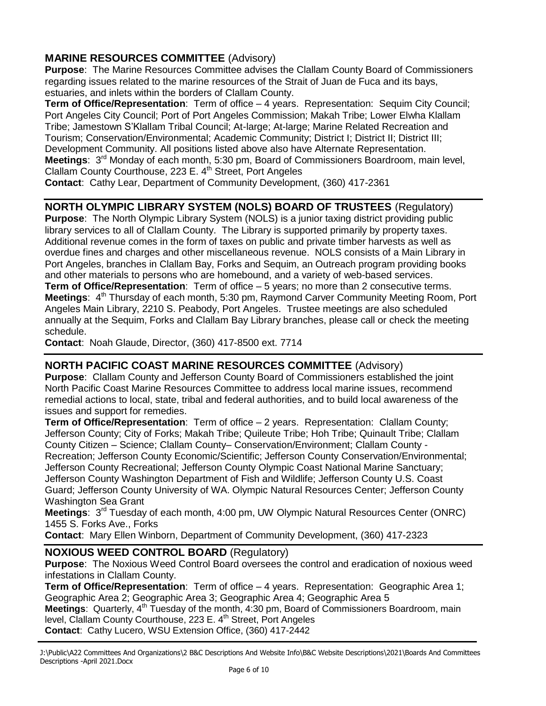# **MARINE RESOURCES COMMITTEE** (Advisory)

**Purpose**: The Marine Resources Committee advises the Clallam County Board of Commissioners regarding issues related to the marine resources of the Strait of Juan de Fuca and its bays, estuaries, and inlets within the borders of Clallam County.

**Term of Office/Representation**: Term of office – 4 years. Representation: Sequim City Council; Port Angeles City Council; Port of Port Angeles Commission; Makah Tribe; Lower Elwha Klallam Tribe; Jamestown S'Klallam Tribal Council; At-large; At-large; Marine Related Recreation and Tourism; Conservation/Environmental; Academic Community; District I; District II; District III; Development Community. All positions listed above also have Alternate Representation. Meetings: 3<sup>rd</sup> Monday of each month, 5:30 pm, Board of Commissioners Boardroom, main level, Clallam County Courthouse, 223 E. 4<sup>th</sup> Street, Port Angeles

**Contact**: Cathy Lear, Department of Community Development, (360) 417-2361

# **NORTH OLYMPIC LIBRARY SYSTEM (NOLS) BOARD OF TRUSTEES** (Regulatory)

**Purpose**: The North Olympic Library System (NOLS) is a junior taxing district providing public library services to all of Clallam County. The Library is supported primarily by property taxes. Additional revenue comes in the form of taxes on public and private timber harvests as well as overdue fines and charges and other miscellaneous revenue. NOLS consists of a Main Library in Port Angeles, branches in Clallam Bay, Forks and Sequim, an Outreach program providing books and other materials to persons who are homebound, and a variety of web-based services. **Term of Office/Representation**: Term of office – 5 years; no more than 2 consecutive terms. **Meetings:** 4<sup>th</sup> Thursday of each month, 5:30 pm, Raymond Carver Community Meeting Room, Port Angeles Main Library, 2210 S. Peabody, Port Angeles. Trustee meetings are also scheduled annually at the Sequim, Forks and Clallam Bay Library branches, please call or check the meeting schedule.

**Contact**: Noah Glaude, Director, (360) 417-8500 ext. 7714

# **NORTH PACIFIC COAST MARINE RESOURCES COMMITTEE** (Advisory)

**Purpose**: Clallam County and Jefferson County Board of Commissioners established the joint North Pacific Coast Marine Resources Committee to address local marine issues, recommend remedial actions to local, state, tribal and federal authorities, and to build local awareness of the issues and support for remedies.

**Term of Office/Representation**: Term of office – 2 years. Representation: Clallam County; Jefferson County; City of Forks; Makah Tribe; Quileute Tribe; Hoh Tribe; Quinault Tribe; Clallam County Citizen – Science; Clallam County– Conservation/Environment; Clallam County - Recreation; Jefferson County Economic/Scientific; Jefferson County Conservation/Environmental; Jefferson County Recreational; Jefferson County Olympic Coast National Marine Sanctuary; Jefferson County Washington Department of Fish and Wildlife; Jefferson County U.S. Coast Guard; Jefferson County University of WA. Olympic Natural Resources Center; Jefferson County Washington Sea Grant

Meetings: 3<sup>rd</sup> Tuesday of each month, 4:00 pm, UW Olympic Natural Resources Center (ONRC) 1455 S. Forks Ave., Forks

**Contact**: Mary Ellen Winborn, Department of Community Development, (360) 417-2323

## **NOXIOUS WEED CONTROL BOARD** (Regulatory)

**Purpose**: The Noxious Weed Control Board oversees the control and eradication of noxious weed infestations in Clallam County.

**Term of Office/Representation**: Term of office – 4 years. Representation: Geographic Area 1; Geographic Area 2; Geographic Area 3; Geographic Area 4; Geographic Area 5

**Meetings:** Quarterly, 4<sup>th</sup> Tuesday of the month, 4:30 pm, Board of Commissioners Boardroom, main level, Clallam County Courthouse, 223 E. 4<sup>th</sup> Street, Port Angeles **Contact**: Cathy Lucero, WSU Extension Office, (360) 417-2442

J:\Public\A22 Committees And Organizations\2 B&C Descriptions And Website Info\B&C Website Descriptions\2021\Boards And Committees Descriptions -April 2021.Docx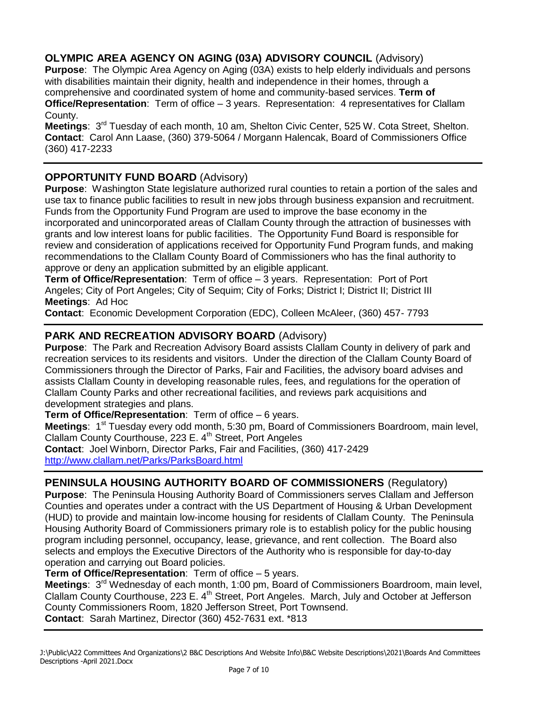# **OLYMPIC AREA AGENCY ON AGING (03A) ADVISORY COUNCIL** (Advisory)

**Purpose**: The Olympic Area Agency on Aging (03A) exists to help elderly individuals and persons with disabilities maintain their dignity, health and independence in their homes, through a comprehensive and coordinated system of home and community-based services. **Term of Office/Representation**: Term of office – 3 years. Representation: 4 representatives for Clallam County.

Meetings: 3<sup>rd</sup> Tuesday of each month, 10 am, Shelton Civic Center, 525 W. Cota Street, Shelton. **Contact**: Carol Ann Laase, (360) 379-5064 / Morgann Halencak, Board of Commissioners Office (360) 417-2233

# **OPPORTUNITY FUND BOARD** (Advisory)

**Purpose**: Washington State legislature authorized rural counties to retain a portion of the sales and use tax to finance public facilities to result in new jobs through business expansion and recruitment. Funds from the Opportunity Fund Program are used to improve the base economy in the incorporated and unincorporated areas of Clallam County through the attraction of businesses with grants and low interest loans for public facilities. The Opportunity Fund Board is responsible for review and consideration of applications received for Opportunity Fund Program funds, and making recommendations to the Clallam County Board of Commissioners who has the final authority to approve or deny an application submitted by an eligible applicant.

**Term of Office/Representation**: Term of office – 3 years. Representation: Port of Port Angeles; City of Port Angeles; City of Sequim; City of Forks; District I; District II; District III **Meetings**: Ad Hoc

**Contact**: Economic Development Corporation (EDC), Colleen McAleer, (360) 457- 7793

## **PARK AND RECREATION ADVISORY BOARD** (Advisory)

**Purpose**: The Park and Recreation Advisory Board assists Clallam County in delivery of park and recreation services to its residents and visitors. Under the direction of the Clallam County Board of Commissioners through the Director of Parks, Fair and Facilities, the advisory board advises and assists Clallam County in developing reasonable rules, fees, and regulations for the operation of Clallam County Parks and other recreational facilities, and reviews park acquisitions and development strategies and plans.

**Term of Office/Representation**: Term of office – 6 years.

Meetings: 1<sup>st</sup> Tuesday every odd month, 5:30 pm, Board of Commissioners Boardroom, main level, Clallam County Courthouse, 223 E. 4<sup>th</sup> Street, Port Angeles

**Contact**: Joel Winborn, Director Parks, Fair and Facilities, (360) 417-2429 <http://www.clallam.net/Parks/ParksBoard.html>

# **PENINSULA HOUSING AUTHORITY BOARD OF COMMISSIONERS** (Regulatory)

**Purpose**: The Peninsula Housing Authority Board of Commissioners serves Clallam and Jefferson Counties and operates under a contract with the US Department of Housing & Urban Development (HUD) to provide and maintain low-income housing for residents of Clallam County. The Peninsula Housing Authority Board of Commissioners primary role is to establish policy for the public housing program including personnel, occupancy, lease, grievance, and rent collection. The Board also selects and employs the Executive Directors of the Authority who is responsible for day-to-day operation and carrying out Board policies.

**Term of Office/Representation**: Term of office – 5 years.

**Meetings**: 3<sup>rd</sup> Wednesday of each month, 1:00 pm, Board of Commissioners Boardroom, main level, Clallam County Courthouse, 223 E. 4<sup>th</sup> Street, Port Angeles. March, July and October at Jefferson County Commissioners Room, 1820 Jefferson Street, Port Townsend. **Contact**: Sarah Martinez, Director (360) 452-7631 ext. \*813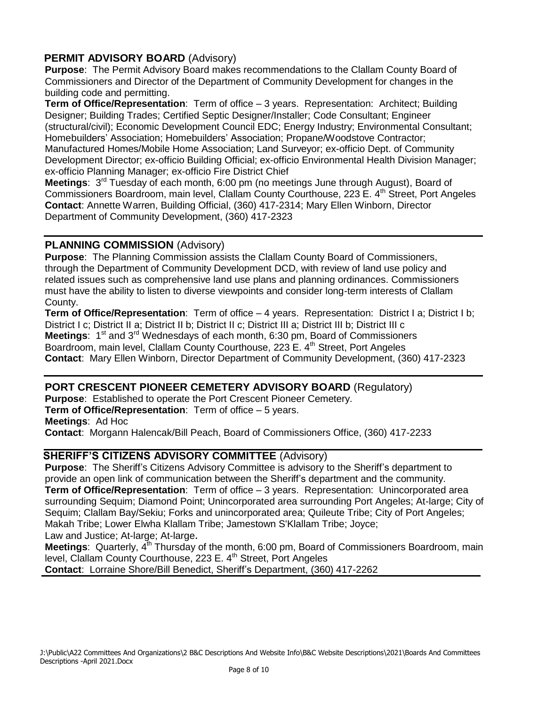## **PERMIT ADVISORY BOARD** (Advisory)

**Purpose**: The Permit Advisory Board makes recommendations to the Clallam County Board of Commissioners and Director of the Department of Community Development for changes in the building code and permitting.

**Term of Office/Representation**: Term of office – 3 years. Representation: Architect; Building Designer; Building Trades; Certified Septic Designer/Installer; Code Consultant; Engineer (structural/civil); Economic Development Council EDC; Energy Industry; Environmental Consultant; Homebuilders' Association; Homebuilders' Association; Propane/Woodstove Contractor; Manufactured Homes/Mobile Home Association; Land Surveyor; ex-officio Dept. of Community Development Director; ex-officio Building Official; ex-officio Environmental Health Division Manager; ex-officio Planning Manager; ex-officio Fire District Chief

Meetings: 3<sup>rd</sup> Tuesday of each month, 6:00 pm (no meetings June through August), Board of Commissioners Boardroom, main level, Clallam County Courthouse, 223 E. 4<sup>th</sup> Street, Port Angeles **Contact**: Annette Warren, Building Official, (360) 417-2314; Mary Ellen Winborn, Director Department of Community Development, (360) 417-2323

### **PLANNING COMMISSION** (Advisory)

**Purpose**: The Planning Commission assists the Clallam County Board of Commissioners, through the Department of Community Development DCD, with review of land use policy and related issues such as comprehensive land use plans and planning ordinances. Commissioners must have the ability to listen to diverse viewpoints and consider long-term interests of Clallam County.

**Term of Office/Representation**: Term of office – 4 years. Representation: District I a; District I b; District I c; District II a; District II b; District II c; District III a; District III b; District III c **Meetings**: 1<sup>st</sup> and 3<sup>rd</sup> Wednesdays of each month, 6:30 pm, Board of Commissioners Boardroom, main level, Clallam County Courthouse, 223 E. 4<sup>th</sup> Street, Port Angeles **Contact**: Mary Ellen Winborn, Director Department of Community Development, (360) 417-2323

#### **PORT CRESCENT PIONEER CEMETERY ADVISORY BOARD** (Regulatory)

**Purpose**: Established to operate the Port Crescent Pioneer Cemetery. **Term of Office/Representation**: Term of office – 5 years. **Meetings**: Ad Hoc **Contact**: Morgann Halencak/Bill Peach, Board of Commissioners Office, (360) 417-2233

# **SHERIFF'S CITIZENS ADVISORY COMMITTEE** (Advisory)

**Purpose**: The Sheriff's Citizens Advisory Committee is advisory to the Sheriff's department to provide an open link of communication between the Sheriff's department and the community. **Term of Office/Representation**: Term of office – 3 years. Representation: Unincorporated area surrounding Sequim; Diamond Point; Unincorporated area surrounding Port Angeles; At-large; City of Sequim; Clallam Bay/Sekiu; Forks and unincorporated area; Quileute Tribe; City of Port Angeles; Makah Tribe; Lower Elwha Klallam Tribe; Jamestown S'Klallam Tribe; Joyce;

Law and Justice; At-large; At-large.

Meetings: Quarterly, 4<sup>th</sup> Thursday of the month, 6:00 pm, Board of Commissioners Boardroom, main level, Clallam County Courthouse, 223 E. 4<sup>th</sup> Street, Port Angeles

**Contact**: Lorraine Shore/Bill Benedict, Sheriff's Department, (360) 417-2262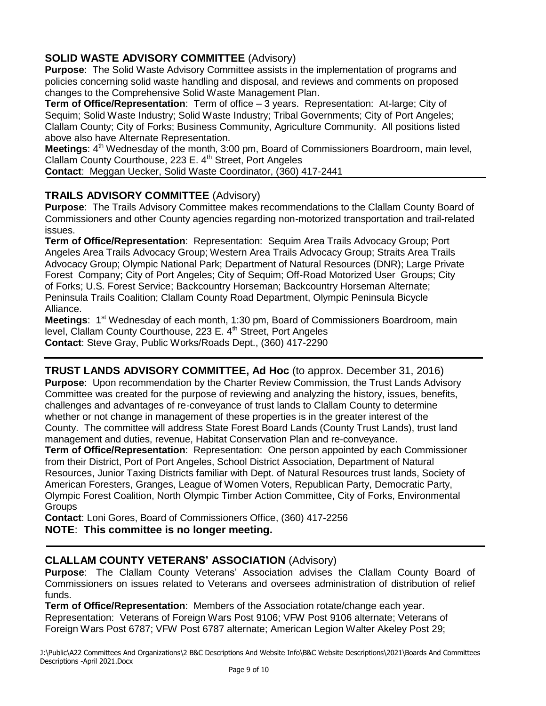# **SOLID WASTE ADVISORY COMMITTEE** (Advisory)

**Purpose**: The Solid Waste Advisory Committee assists in the implementation of programs and policies concerning solid waste handling and disposal, and reviews and comments on proposed changes to the Comprehensive Solid Waste Management Plan.

**Term of Office/Representation**: Term of office – 3 years. Representation: At-large; City of Sequim; Solid Waste Industry; Solid Waste Industry; Tribal Governments; City of Port Angeles; Clallam County; City of Forks; Business Community, Agriculture Community. All positions listed above also have Alternate Representation.

Meetings: 4<sup>th</sup> Wednesday of the month, 3:00 pm, Board of Commissioners Boardroom, main level, Clallam County Courthouse, 223 E. 4<sup>th</sup> Street, Port Angeles

**Contact**: Meggan Uecker, Solid Waste Coordinator, (360) 417-2441

## **TRAILS ADVISORY COMMITTEE** (Advisory)

**Purpose**: The Trails Advisory Committee makes recommendations to the Clallam County Board of Commissioners and other County agencies regarding non-motorized transportation and trail-related issues.

**Term of Office/Representation**: Representation: Sequim Area Trails Advocacy Group; Port Angeles Area Trails Advocacy Group; Western Area Trails Advocacy Group; Straits Area Trails Advocacy Group; Olympic National Park; Department of Natural Resources (DNR); Large Private Forest Company; City of Port Angeles; City of Sequim; Off-Road Motorized User Groups; City of Forks; U.S. Forest Service; Backcountry Horseman; Backcountry Horseman Alternate; Peninsula Trails Coalition; Clallam County Road Department, Olympic Peninsula Bicycle Alliance.

Meetings: 1<sup>st</sup> Wednesday of each month, 1:30 pm, Board of Commissioners Boardroom, main level, Clallam County Courthouse, 223 E. 4<sup>th</sup> Street, Port Angeles **Contact**: Steve Gray, Public Works/Roads Dept., (360) 417-2290

**TRUST LANDS ADVISORY COMMITTEE, Ad Hoc** (to approx. December 31, 2016) **Purpose**: Upon recommendation by the Charter Review Commission, the Trust Lands Advisory Committee was created for the purpose of reviewing and analyzing the history, issues, benefits, challenges and advantages of re-conveyance of trust lands to Clallam County to determine whether or not change in management of these properties is in the greater interest of the County. The committee will address State Forest Board Lands (County Trust Lands), trust land management and duties, revenue, Habitat Conservation Plan and re-conveyance.

**Term of Office/Representation**: Representation: One person appointed by each Commissioner from their District, Port of Port Angeles, School District Association, Department of Natural Resources, Junior Taxing Districts familiar with Dept. of Natural Resources trust lands, Society of American Foresters, Granges, League of Women Voters, Republican Party, Democratic Party, Olympic Forest Coalition, North Olympic Timber Action Committee, City of Forks, Environmental **Groups** 

**Contact**: Loni Gores, Board of Commissioners Office, (360) 417-2256 **NOTE**: **This committee is no longer meeting.**

## **CLALLAM COUNTY VETERANS' ASSOCIATION** (Advisory)

**Purpose**: The Clallam County Veterans' Association advises the Clallam County Board of Commissioners on issues related to Veterans and oversees administration of distribution of relief funds.

**Term of Office/Representation**: Members of the Association rotate/change each year. Representation: Veterans of Foreign Wars Post 9106; VFW Post 9106 alternate; Veterans of Foreign Wars Post 6787; VFW Post 6787 alternate; American Legion Walter Akeley Post 29;